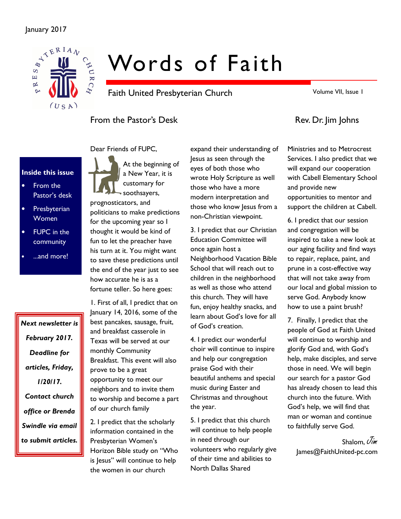### January 2017



# Words of Faith

Faith United Presbyterian Church

Volume VII, Issue 1

# From the Pastor's Desk Rev. Dr. Jim Johns

Inside this issue

- From the Pastor's desk
- **Presbyterian** Women
- FUPC in the community
- ...and more!

Next newsletter is February 2017. Deadline for articles, Friday, 1/20/17. Contact church office or Brenda Swindle via email to submit articles.

Dear Friends of FUPC,



prognosticators, and politicians to make predictions for the upcoming year so I thought it would be kind of fun to let the preacher have his turn at it. You might want to save these predictions until the end of the year just to see how accurate he is as a fortune teller. So here goes:

1. First of all, I predict that on January 14, 2016, some of the best pancakes, sausage, fruit, and breakfast casserole in Texas will be served at our monthly Community Breakfast. This event will also prove to be a great opportunity to meet our neighbors and to invite them to worship and become a part of our church family

2. I predict that the scholarly information contained in the Presbyterian Women's Horizon Bible study on "Who is Jesus" will continue to help the women in our church

expand their understanding of Jesus as seen through the eyes of both those who wrote Holy Scripture as well those who have a more modern interpretation and those who know Jesus from a non-Christian viewpoint.

3. I predict that our Christian Education Committee will once again host a Neighborhood Vacation Bible School that will reach out to children in the neighborhood as well as those who attend this church. They will have fun, enjoy healthy snacks, and learn about God's love for all of God's creation.

4. I predict our wonderful choir will continue to inspire and help our congregation praise God with their beautiful anthems and special music during Easter and Christmas and throughout the year.

5. I predict that this church will continue to help people in need through our volunteers who regularly give of their time and abilities to North Dallas Shared

Ministries and to Metrocrest Services. I also predict that we will expand our cooperation with Cabell Elementary School and provide new opportunities to mentor and support the children at Cabell.

6. I predict that our session and congregation will be inspired to take a new look at our aging facility and find ways to repair, replace, paint, and prune in a cost-effective way that will not take away from our local and global mission to serve God. Anybody know how to use a paint brush?

7. Finally, I predict that the people of God at Faith United will continue to worship and glorify God and, with God's help, make disciples, and serve those in need. We will begin our search for a pastor God has already chosen to lead this church into the future. With God's help, we will find that man or woman and continue to faithfully serve God.

Shalom,  $\overline{J}_{im}$ James@FaithUnited-pc.com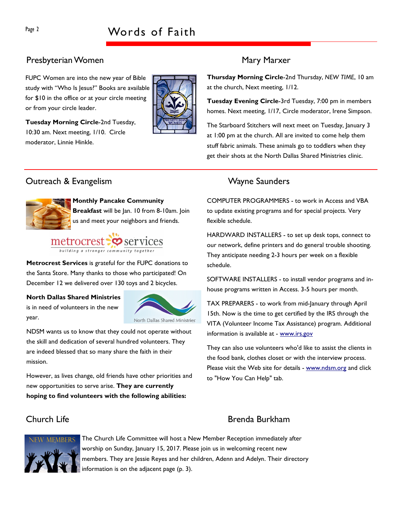# Presbyterian Women Mary Marxer

FUPC Women are into the new year of Bible study with "Who Is Jesus?" Books are available for \$10 in the office or at your circle meeting or from your circle leader.



Tuesday Morning Circle-2nd Tuesday, 10:30 am. Next meeting, 1/10. Circle moderator, Linnie Hinkle.

# Outreach & Evangelism National Control of Mayne Saunders



#### Monthly Pancake Community

Breakfast will be Jan. 10 from 8-10am. Join us and meet your neighbors and friends.



Metrocrest Services is grateful for the FUPC donations to the Santa Store. Many thanks to those who participated! On December 12 we delivered over 130 toys and 2 bicycles.

#### North Dallas Shared Ministries

is in need of volunteers in the new year.



NDSM wants us to know that they could not operate without the skill and dedication of several hundred volunteers. They are indeed blessed that so many share the faith in their mission.

However, as lives change, old friends have other priorities and new opportunities to serve arise. They are currently hoping to find volunteers with the following abilities:



The Church Life Committee will host a New Member Reception immediately after worship on Sunday, January 15, 2017. Please join us in welcoming recent new members. They are Jessie Reyes and her children, Adenn and Adelyn. Their directory information is on the adjacent page (p. 3).

Thursday Morning Circle-2nd Thursday, NEW TIME, 10 am at the church, Next meeting, 1/12.

Tuesday Evening Circle-3rd Tuesday, 7:00 pm in members homes. Next meeting, 1/17, Circle moderator, Irene Simpson.

The Starboard Stitchers will next meet on Tuesday, January 3 at 1:00 pm at the church. All are invited to come help them stuff fabric animals. These animals go to toddlers when they get their shots at the North Dallas Shared Ministries clinic.

COMPUTER PROGRAMMERS - to work in Access and VBA to update existing programs and for special projects. Very flexible schedule.

HARDWARD INSTALLERS - to set up desk tops, connect to our network, define printers and do general trouble shooting. They anticipate needing 2-3 hours per week on a flexible schedule.

SOFTWARE INSTALLERS - to install vendor programs and inhouse programs written in Access. 3-5 hours per month.

TAX PREPARERS - to work from mid-January through April 15th. Now is the time to get certified by the IRS through the VITA (Volunteer Income Tax Assistance) program. Additional information is available at - www.irs.gov

They can also use volunteers who'd like to assist the clients in the food bank, clothes closet or with the interview process. Please visit the Web site for details - www.ndsm.org and click to "How You Can Help" tab.

# Church Life **Brenda Burkham**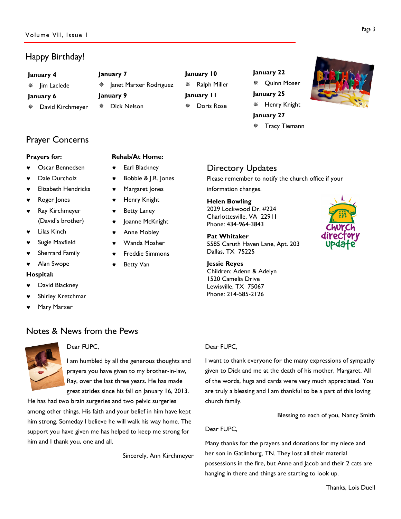# Happy Birthday!

January 7

January 9

 $*$  | anet Marxer Rodriguez

Rehab/At Home: Earl Blackney

**Betty Van** 

Bobbie & J.R. Jones Margaret Jones Henry Knight **Betty Laney** Joanne McKnight Anne Mobley Wanda Mosher **Freddie Simmons** 

Dick Nelson

#### January 4

**※ Jim Laclede** 

- January 6
- David Kirchmeyer

Prayer Concerns

### Prayers for:

- Oscar Bennedsen
- Dale Durcholz
- **Elizabeth Hendricks**
- Roger Jones
- **Ray Kirchmeyer** (David's brother)
- **Lilas Kinch**
- Sugie Maxfield
- ♥ Sherrard Family
- Alan Swope

#### Hospital:

- David Blackney
- Shirley Kretchmar
- Mary Marxer

# Notes & News from the Pews



### Dear FUPC,

I am humbled by all the generous thoughts and prayers you have given to my brother-in-law, Ray, over the last three years. He has made great strides since his fall on January 16, 2013.

He has had two brain surgeries and two pelvic surgeries among other things. His faith and your belief in him have kept him strong. Someday I believe he will walk his way home. The support you have given me has helped to keep me strong for him and I thank you, one and all.

Sincerely, Ann Kirchmeyer

# January 10 Ralph Miller January 11 Doris Rose

January 22 Quinn Moser January 25 Henry Knight January 27 Tracy Tiemann



# Directory Updates

Please remember to notify the church office if your information changes.

#### Helen Bowling

2029 Lockwood Dr. #224 Charlottesville, VA 22911 Phone: 434-964-3843

Pat Whitaker 5585 Caruth Haven Lane, Apt. 203 Dallas, TX 75225

Jessie Reyes Children: Adenn & Adelyn 1520 Camelia Drive Lewisville, TX 75067 Phone: 214-585-2126



#### Dear FUPC,

I want to thank everyone for the many expressions of sympathy given to Dick and me at the death of his mother, Margaret. All of the words, hugs and cards were very much appreciated. You are truly a blessing and I am thankful to be a part of this loving church family.

Blessing to each of you, Nancy Smith

#### Dear FUPC,

Many thanks for the prayers and donations for my niece and her son in Gatlinburg, TN. They lost all their material possessions in the fire, but Anne and Jacob and their 2 cats are hanging in there and things are starting to look up.